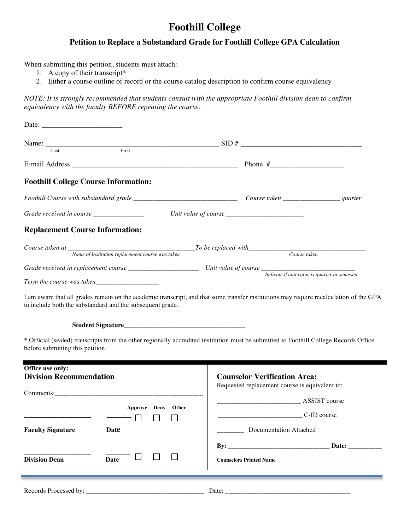## **Foothill College**

## **Petition to Replace a Substandard Grade for Foothill College GPA Calculation**

When submitting this petition, students must attach:

- 1. A copy of their transcript\*
- 2. Either a course outline of record or the course catalog description to confirm course equivalency.

*NOTE: It is strongly recommended that students consult with the appropriate Foothill division dean to confirm equivalency with the faculty BEFORE repeating the course.*

|                                                                                                                    |                                                           | Name: $\frac{1}{\text{Last}}$ First SID #                                                                                                                                                                                             |
|--------------------------------------------------------------------------------------------------------------------|-----------------------------------------------------------|---------------------------------------------------------------------------------------------------------------------------------------------------------------------------------------------------------------------------------------|
|                                                                                                                    |                                                           |                                                                                                                                                                                                                                       |
| <b>Foothill College Course Information:</b>                                                                        |                                                           |                                                                                                                                                                                                                                       |
|                                                                                                                    |                                                           |                                                                                                                                                                                                                                       |
| Grade received in course ______________                                                                            |                                                           | Unit value of course $\frac{1}{1}$ control in the set of course $\frac{1}{1}$ control in the set of set of set of set of set of set of set of set of set of set of set of set of set of set of set of set of set of set of set of set |
| <b>Replacement Course Information:</b>                                                                             |                                                           |                                                                                                                                                                                                                                       |
|                                                                                                                    |                                                           | Course taken at<br>Name of Institution replacement course was taken<br>Course taken<br>Course taken                                                                                                                                   |
|                                                                                                                    |                                                           |                                                                                                                                                                                                                                       |
|                                                                                                                    |                                                           |                                                                                                                                                                                                                                       |
|                                                                                                                    | to include both the substandard and the subsequent grade. | I am aware that all grades remain on the academic transcript, and that some transfer institutions may require recalculation of the GPA                                                                                                |
|                                                                                                                    |                                                           | * Official (sealed) transcripts from the other regionally accredited institution must be submitted to Foothill College Records Office                                                                                                 |
|                                                                                                                    |                                                           | <b>Counselor Verification Area:</b><br>Requested replacement course is equivalent to:                                                                                                                                                 |
|                                                                                                                    |                                                           |                                                                                                                                                                                                                                       |
|                                                                                                                    | Approve Deny Other                                        |                                                                                                                                                                                                                                       |
|                                                                                                                    | Date                                                      | <b>Documentation Attached</b>                                                                                                                                                                                                         |
| before submitting this petition.<br>Office use only:<br><b>Division Recommendation</b><br><b>Faculty Signature</b> |                                                           |                                                                                                                                                                                                                                       |